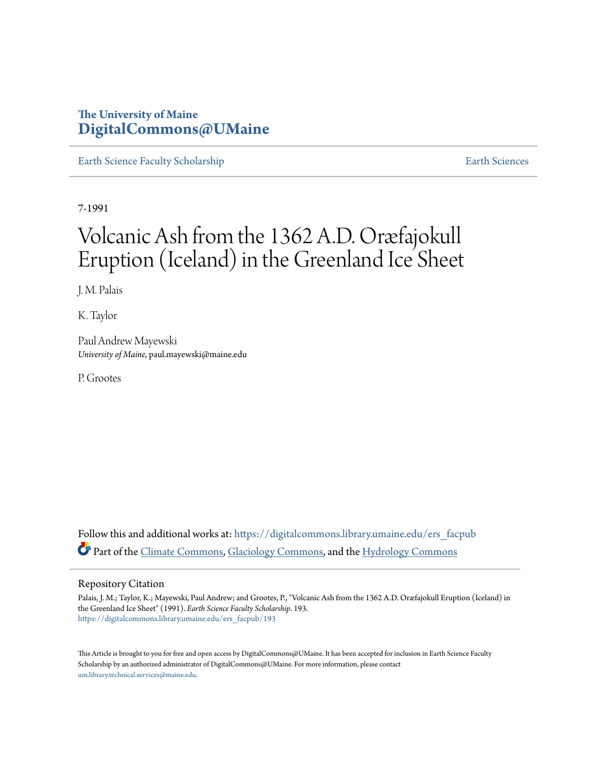## **The University of Maine [DigitalCommons@UMaine](https://digitalcommons.library.umaine.edu?utm_source=digitalcommons.library.umaine.edu%2Fers_facpub%2F193&utm_medium=PDF&utm_campaign=PDFCoverPages)**

[Earth Science Faculty Scholarship](https://digitalcommons.library.umaine.edu/ers_facpub?utm_source=digitalcommons.library.umaine.edu%2Fers_facpub%2F193&utm_medium=PDF&utm_campaign=PDFCoverPages) **[Earth Sciences](https://digitalcommons.library.umaine.edu/ers?utm_source=digitalcommons.library.umaine.edu%2Fers_facpub%2F193&utm_medium=PDF&utm_campaign=PDFCoverPages)** 

7-1991

# Volcanic Ash from the 1362 A.D. Oræfajokull Eruption (Iceland) in the Greenland Ice Sheet

J. M. Palais

K. Taylor

Paul Andrew Mayewski *University of Maine*, paul.mayewski@maine.edu

P. Grootes

Follow this and additional works at: [https://digitalcommons.library.umaine.edu/ers\\_facpub](https://digitalcommons.library.umaine.edu/ers_facpub?utm_source=digitalcommons.library.umaine.edu%2Fers_facpub%2F193&utm_medium=PDF&utm_campaign=PDFCoverPages) Part of the [Climate Commons,](http://network.bepress.com/hgg/discipline/188?utm_source=digitalcommons.library.umaine.edu%2Fers_facpub%2F193&utm_medium=PDF&utm_campaign=PDFCoverPages) [Glaciology Commons](http://network.bepress.com/hgg/discipline/159?utm_source=digitalcommons.library.umaine.edu%2Fers_facpub%2F193&utm_medium=PDF&utm_campaign=PDFCoverPages), and the [Hydrology Commons](http://network.bepress.com/hgg/discipline/1054?utm_source=digitalcommons.library.umaine.edu%2Fers_facpub%2F193&utm_medium=PDF&utm_campaign=PDFCoverPages)

### Repository Citation

Palais, J. M.; Taylor, K.; Mayewski, Paul Andrew; and Grootes, P., "Volcanic Ash from the 1362 A.D. Oræfajokull Eruption (Iceland) in the Greenland Ice Sheet" (1991). *Earth Science Faculty Scholarship*. 193. [https://digitalcommons.library.umaine.edu/ers\\_facpub/193](https://digitalcommons.library.umaine.edu/ers_facpub/193?utm_source=digitalcommons.library.umaine.edu%2Fers_facpub%2F193&utm_medium=PDF&utm_campaign=PDFCoverPages)

This Article is brought to you for free and open access by DigitalCommons@UMaine. It has been accepted for inclusion in Earth Science Faculty Scholarship by an authorized administrator of DigitalCommons@UMaine. For more information, please contact [um.library.technical.services@maine.edu](mailto:um.library.technical.services@maine.edu).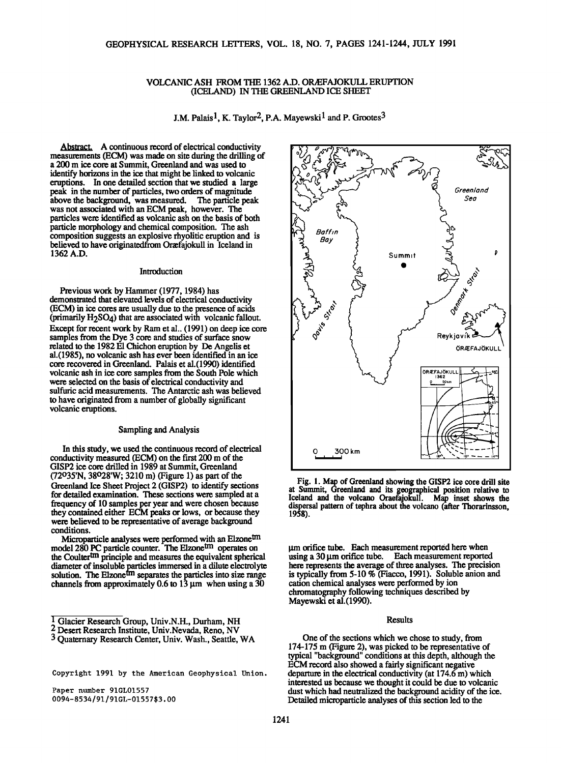#### **VOLCANIC ASH FROM THE 1362 A.D. OR/EFAJOKULL ERUPTION (ICELAND) IN THE GREENLAND ICE SHEET**

**J.M. Palais<sup>1</sup>, K. Taylor<sup>2</sup>, P.A. Mayewski<sup>1</sup> and P. Grootes<sup>3</sup>** 

**Abstract. A continuous record of electrical conductivity measurements (ECM) was made on site during the drilling of a 200 m ice core at Summit, Greenland and was used to identify horizons in the ice that might be linked to volcanic eruptions. In one detailed section that we studied a large peak in the number of particles, two orders of magnitude above the background, was measured. The particle peak was not associated with an ECM peak, however. The particles were identified as volcanic ash on the basis of both particle morphology and chemical composition. The ash composition suggests an explosive rhyolitic eruption and is**  believed to have originatedfrom Oræfajokull in Iceland in **1362 A.D.** 

#### **Introduction**

**Previous work by Hammer (1977, 1984) has demonstrated that elevated levels of electrical conductivity (ECM) in ice cores are usually due to the presence of acids (primarily H2SO4) that are associated with volcanic fallout. Except for recent work by Ram et al.. (1991) on deep ice core**  samples from the Dye 3 core and studies of surface snow **related to the 1982 E1 Chichon eruption by De Angelis et al.(1985), no volcanic ash has ever been identified in an ice core recovered in Greenland. Palais et al.(1990) identified volcanic ash in ice core samples from the South Pole which were selected on the basis of electrical conductivity and sulfuric acid measurements. The Antarctic ash was believed to have originated from a number of globally significant volcanic eruptions.** 

#### **Sampling and Analysis**

**In this study, we used the continuous record of electrical conductivity measured (ECM) on the first 200 m of the GISP2 ice core drilled in 1989 at Summit, Greenland (72o35'N, 38o28'W; 3210 m) (Figure 1) as part of the Greenland Ice Sheet Project 2 (GISP2) to identify sections for detailed examination. These sections were sampled at a frequency of 10 samples per year and were chosen because they contained either ECM peaks or lows, or because they**  were believed to be representative of average background **conditions.** 

Microparticle analyses were performed with an Elzone<sup>tm</sup> model 280 PC particle counter. The Elzone<sup>un</sup> operates on the Coulter<sup>um</sup> principle and measures the equivalent spherical **diameter of insoluble p\_articles immersed ina dilute electrolyte solution. The Elzone an separates the particles into size range channels from approximately 0.6 to 13 gm when using a 30** 

**Copyright 1991 by the American Geophysical Union.** 

**Paper number 91GL01557 0094-8534/91/91GL-0155753.00** 



**Fig. 1. Map of Greenland showing the GISP2 ice core drill site at Summit, Greenland and its geographical position relative to Iceland and the volcano Oraefajokull. Map inset shows the**  dispersal pattern of tephra about the volcano (after Thorarinsson, **1958).** 

**grn orifice tube. Each measurement reported here when**  using a 30  $\mu$ m orifice tube. Each measurement reported here represents the average of three analyses. The precision **is typically from 5-10 % (Fiacco, 1991). Soluble anion and cation chemical analyses were performed by ion chromatography following techniques described by Mayewski et a1.(1990).** 

#### **Results**

**One of the sections which we chose to study, from 174-175 m (Figure 2), was picked to be representative of typical "background" conditions at this depth, although the ECM record also showed a fairly significant negative departure in the electrical conductivity (at 174.6 m) which interested us because we thought it could be due to volcanic dust which had neutralized the background acidity of the ice. Detailed microparticle analyses of this section led to the** 

**<sup>1</sup> Glacier Research Group, Univ.N.H., Durham, NH** 

**<sup>2</sup> Desert Research Institute, Univ. Nevada, Reno, NV** 

**<sup>3</sup> Quaternary Research Center, Univ. Wash., Seatfie, WA**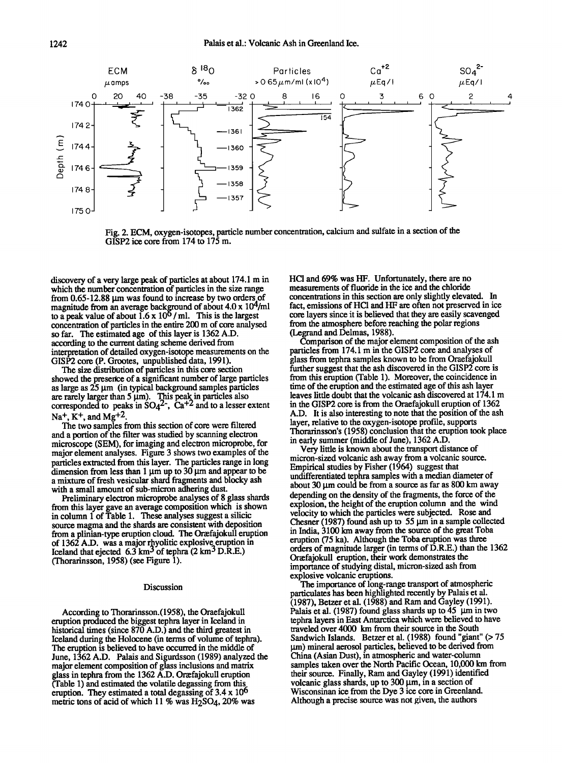

Fig. 2. ECM, oxygen-isotopes, particle number concentration, calcium and sulfate in a section of the **GISP2 ice core from 174 to 175 m.** 

**discovery of a very large peak of particles at about 174.1 m in**  which the number concentration of particles in the size range from 0.65-12.88  $\mu$ m was found to increase by two orders of **magnitude from an average background of about 4.0 x 104/ml**  to a peak value of about  $1.6 \times 10^{6}$  / ml. This is the largest **concentration of particles in the entire 200 m of core analysed so far. The estimated age of this layer is 1362 A.D. according to the current dating scheme derived from interpretation of detailed oxygen-isotope measurements on the**  GISP2 core (P. Grootes, unpublished data, 1991).

**The size distribution of particles in this core section showed the presetice of a significant number of large particles as large as 25 I•m (in typical background samples particles**  are rarely larger than 5  $\mu$ m). This peak in particles also corresponded to peaks in SO<sub>4</sub><sup>2</sup>, Ca<sup>+2</sup> and to a lesser extent Na<sup>+</sup>, K<sup>+</sup>, and Mg<sup>+2</sup>.

**The two samples from this section of core were filtered and a portion of the filter was studied by scanning electron microscope (SEM), for imaging and electron microprobe, for major element analyses. Figure 3 shows two examples of the particles extracted from this layer. The particles range in long**  dimension from less than  $1 \mu m$  up to  $30 \mu m$  and appear to be **a mixture of fresh vesicular shard fragments and blocky ash with a small amount of sub-micron adhering dust.** 

**Preliminary electron microprobe analyses of 8 glass shards from this layer gave an average composition which is shown**  in column 1 of Table 1. These analyses suggest a silicic **source magma and the shards are consistent with deposition**  from a plinian-type eruption cloud. The Oraetajokull eruption **properties** of 1362 A.D. was a major rhyolitic explosive eruption in <br>Iceland that ejected 6.3 km<sup>3</sup> of tephra (2 km<sup>3</sup> D.R.E.) **(Thorarinsson, 1958)(see Figure 1).** 

#### **Discussion**

**According to Thorarinsson.(1958), the Oraefajokull eruption produced the biggest tephra layer in Iceland in historical times (since 870 A.D.) and the third greatest in Iceland during the Holocene (in terms of volume of tephra). The eruption is believed to have occurred in the middle of June, 1362 A.D. Palais and Sigurdsson (1989) analyzed the major element composition of glass inclusions and matrix**  glass in tephra from the 1362 A.D. Orafajokull eruption **(Table 1) and estimated the volatile degassing from this eruption. They estimated a total degassing of 3.4 x 106**  metric tons of acid of which 11 % was H<sub>2</sub>SO<sub>4</sub>, 20% was

**HC1 and 69% was HF. Unfortunately, there are no measurements of fluoride in the ice and the chloride concentrations in this section are only slightly elevated. In fact, emissions of HC1 and HF are often not preserved in ice core layers since it is believed that they are easily scavenged from the atmosphere before reaching the polar regions (Legrand and Delmas, 1988).** 

Comparison of the major element composition of the ash **particles from 174.1 m in the GISP2 core and analyses of glass from tephra samples known to be from Oraefajokull further suggest that the ash discovered in the GISP2 core is from this eruption (Table 1). Moreover, the coincidence in time of the eruption and the estimated age of this ash layer leaves little doubt that the volcanic ash discovered at 174.1 m in the GISP2 core is from the Oraefajokull eruption of 1362 A.D. It is also interesting to note that the position of the ash**  layer, relative to the oxygen-isotope profile, supports **Thorarinsson's (1958) conclusion that the eruption took place in early summer (middle of June), 1362 A.D.** 

Very little is known about the transport distance of **micron-sized volcanic ash away from a volcanic source. Empirical studies by Fisher (1964) suggest that undifferentiated tephra samples with a median diameter of**  about 30  $\mu$ m could be from a source as far as 800 km away **depending on the density of the fragments, the force of the explosion, the height of the eruption column and the wind velocity to which the particles were subjected. Rose and**  Chesner (1987) found ash up to 55  $\mu$ m in a sample collected **in India, 3100 km away from the source of the great Toba eruption (75 ka). Although the Toba eruption was three orders of magnitude larger (in terms of D.R.E.) than the 1362 Oraffajokull eruption, their work demonstrates the**  importance of studying distal, micron-sized ash from **explosive volcanic eruptions.** 

The importance of long-range transport of atmospheric **particulates has been highlighted recently by Palais et al. (1987), Betzer et al. (1988) and Ram and Gayley (1991).**  Palais et al. (1987) found glass shards up to 45  $\mu$ m in two **tephra layers in East Antarctica which were believed to have traveled over 4000 km from their source in the South Sandwich Islands. Betzer et al. (1988) found "giant" (> 75 gm) mineral aerosol particles, believed to be derived from China (Asian Dust), in atmospheric and water-column samples taken over the North Pacific Ocean, 10,000 km from their source. Finally, Ram and Gayley (1991) identified volcanic glass shards, up to 300 gm, in a section of Wisconsinan ice from the Dye 3 ice core in Greenland. Although aprecise source was not given, the authors**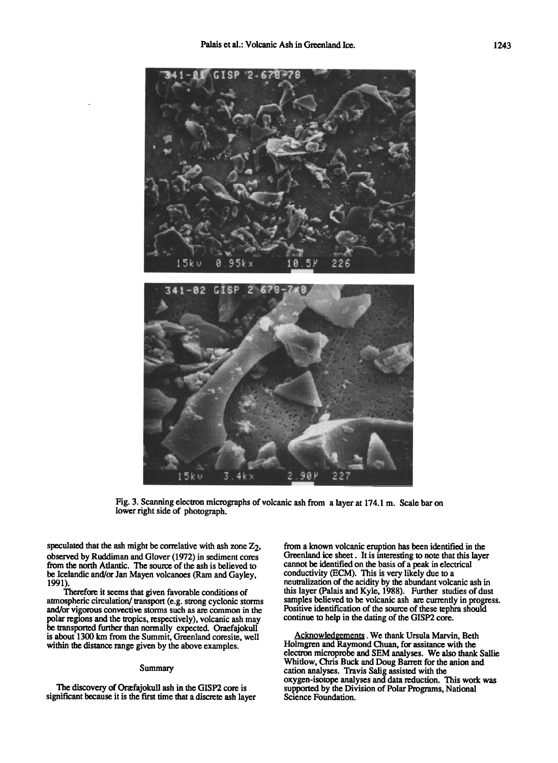

Fig. 3. Scanning electron micrographs of volcanic ash from a layer at 174.1 m. Scale bar on lower right side of photograph.

speculated that the ash might be correlative with ash zone  $Z<sub>2</sub>$ , observed by Ruddiman and Glover (1972) in sediment cores from the north Atlantic. The source of the ash is believed to be Icelandic and/or Jan Mayen volcanoes (Ram and Gayley, 1991).

Therefore it seems that given favorable conditions of atmospheric circulation/ transport (e.g. strong cyclonic storms and/or vigorous convective storms such as are common in the polar regions and the tropics, respectively), volcanic ash may be transported further than normally expected. Oraefajokull is about 1300 km from the Summit, Greenland coresite, well within the distance range given by the above examples.

#### Summary

The discovery of Oræfajokull ash in the GISP2 core is significant because it is the first time that a discrete ash layer from a known volcanic eruption has been identified in the Greenland ice sheet. It is interesting to note that this layer cannot be identified on the basis of a peak in electrical conductivity (ECM). This is very likely due to a neutralization of the acidity by the abundant volcanic ash in this layer (Palais and Kyle, 1988). Further studies of dust samples believed to be volcanic ash are currently in progress. Positive identification of the source of these tephra should continue to help in the dating of the GISP2 core.

Acknowledgements . We thank Ursula Marvin, Beth Holmgren and Raymond Chuan, for assitance with the electron microprobe and SEM analyses. We also thank Sallie Whitlow, Chris Buck and Doug Barrett for the anion and cation analyses. Travis Salig assisted with the oxygen-isotope analyses and data reduction. This work was supported by the Division of Polar Programs, National Science Foundation.